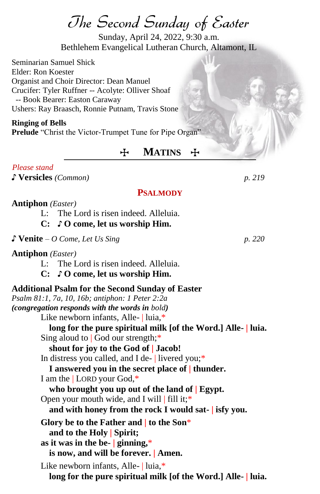The Second Sunday of Easter

Sunday, April 24, 2022, 9:30 a.m. Bethlehem Evangelical Lutheran Church, Altamont, IL

Seminarian Samuel Shick Elder: Ron Koester Organist and Choir Director: Dean Manuel Crucifer: Tyler Ruffner -- Acolyte: Olliver Shoaf -- Book Bearer: Easton Caraway Ushers: Ray Braasch, Ronnie Putnam, Travis Stone

#### **Ringing of Bells**

**Prelude** "Christ the Victor-Trumpet Tune for Pipe Organ"

# T **MATINS** T

#### *.Please stand*

♪ **Versicles** *(Common) p. 219*

### **PSALMODY**

### **Antiphon** *(Easter)*

- L: The Lord is risen indeed. Alleluia.
- **C:** ♪ **O come, let us worship Him.**

♪ **Venite** *– O Come, Let Us Sing p. 220*

**Antiphon** *(Easter)*

L: The Lord is risen indeed. Alleluia.

**C:** ♪ **O come, let us worship Him.**

# **Additional Psalm for the Second Sunday of Easter** *Psalm 81:1, 7a, 10, 16b; antiphon: 1 Peter 2:2a (congregation responds with the words in bold)* Like newborn infants, Alle- | luia,\* **long for the pure spiritual milk [of the Word.] Alle- | luia.** Sing aloud to | God our strength;\* **shout for joy to the God of | Jacob!** In distress you called, and I de- | livered you;\* **I answered you in the secret place of | thunder.** I am the | LORD your God,\* **who brought you up out of the land of | Egypt.** Open your mouth wide, and I will | fill it;\* **and with honey from the rock I would sat- | isfy you. Glory be to the Father and | to the Son**\* **and to the Holy | Spirit; as it was in the be- | ginning,**\* **is now, and will be forever. | Amen.** Like newborn infants, Alle- | luia,\* **long for the pure spiritual milk [of the Word.] Alle- | luia.**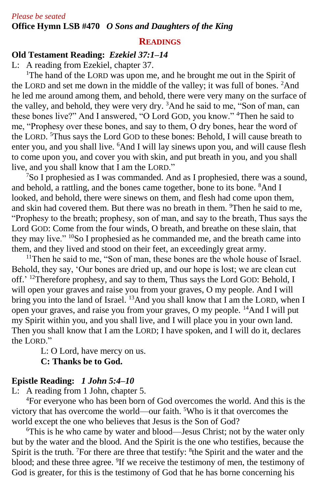## **READINGS**

# **Old Testament Reading:** *Ezekiel 37:1–14*

L: A reading from Ezekiel, chapter 37.

<sup>1</sup>The hand of the LORD was upon me, and he brought me out in the Spirit of the LORD and set me down in the middle of the valley; it was full of bones. <sup>2</sup>And he led me around among them, and behold, there were very many on the surface of the valley, and behold, they were very dry. <sup>3</sup>And he said to me, "Son of man, can these bones live?" And I answered, "O Lord GOD, you know." <sup>4</sup>Then he said to me, "Prophesy over these bones, and say to them, O dry bones, hear the word of the LORD. <sup>5</sup>Thus says the Lord GOD to these bones: Behold, I will cause breath to enter you, and you shall live. <sup>6</sup>And I will lay sinews upon you, and will cause flesh to come upon you, and cover you with skin, and put breath in you, and you shall live, and you shall know that I am the LORD."

<sup>7</sup>So I prophesied as I was commanded. And as I prophesied, there was a sound, and behold, a rattling, and the bones came together, bone to its bone. <sup>8</sup>And I looked, and behold, there were sinews on them, and flesh had come upon them, and skin had covered them. But there was no breath in them. <sup>9</sup>Then he said to me, "Prophesy to the breath; prophesy, son of man, and say to the breath, Thus says the Lord GOD: Come from the four winds, O breath, and breathe on these slain, that they may live." <sup>10</sup>So I prophesied as he commanded me, and the breath came into them, and they lived and stood on their feet, an exceedingly great army.

<sup>11</sup>Then he said to me, "Son of man, these bones are the whole house of Israel. Behold, they say, 'Our bones are dried up, and our hope is lost; we are clean cut off.' <sup>12</sup>Therefore prophesy, and say to them, Thus says the Lord GOD: Behold, I will open your graves and raise you from your graves, O my people. And I will bring you into the land of Israel. <sup>13</sup>And you shall know that I am the LORD, when I open your graves, and raise you from your graves, O my people. <sup>14</sup>And I will put my Spirit within you, and you shall live, and I will place you in your own land. Then you shall know that I am the LORD; I have spoken, and I will do it, declares the LORD."

L: O Lord, have mercy on us. **C: Thanks be to God.**

# **Epistle Reading:** *1 John 5:4–10*

L: A reading from 1 John, chapter 5.

<sup>4</sup>For everyone who has been born of God overcomes the world. And this is the victory that has overcome the world—our faith. <sup>5</sup>Who is it that overcomes the world except the one who believes that Jesus is the Son of God?

<sup>6</sup>This is he who came by water and blood—Jesus Christ; not by the water only but by the water and the blood. And the Spirit is the one who testifies, because the Spirit is the truth. <sup>7</sup>For there are three that testify: <sup>8</sup>the Spirit and the water and the blood; and these three agree. <sup>9</sup>If we receive the testimony of men, the testimony of God is greater, for this is the testimony of God that he has borne concerning his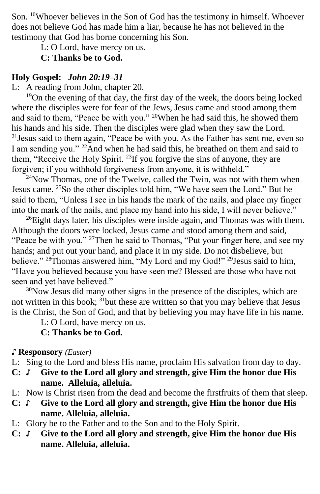Son. <sup>10</sup>Whoever believes in the Son of God has the testimony in himself. Whoever does not believe God has made him a liar, because he has not believed in the testimony that God has borne concerning his Son.

L: O Lord, have mercy on us.

## **C: Thanks be to God.**

# **Holy Gospel:** *John 20:19–31*

L: A reading from John, chapter 20.

 $19$ On the evening of that day, the first day of the week, the doors being locked where the disciples were for fear of the Jews, Jesus came and stood among them and said to them, "Peace be with you." <sup>20</sup>When he had said this, he showed them his hands and his side. Then the disciples were glad when they saw the Lord.  $2^{1}$ Jesus said to them again, "Peace be with you. As the Father has sent me, even so I am sending you." <sup>22</sup>And when he had said this, he breathed on them and said to them, "Receive the Holy Spirit. <sup>23</sup>If you forgive the sins of anyone, they are forgiven; if you withhold forgiveness from anyone, it is withheld."

 $24$ Now Thomas, one of the Twelve, called the Twin, was not with them when Jesus came. <sup>25</sup>So the other disciples told him, "We have seen the Lord." But he said to them, "Unless I see in his hands the mark of the nails, and place my finger into the mark of the nails, and place my hand into his side, I will never believe."

 $^{26}$ Eight days later, his disciples were inside again, and Thomas was with them. Although the doors were locked, Jesus came and stood among them and said, "Peace be with you." <sup>27</sup>Then he said to Thomas, "Put your finger here, and see my hands; and put out your hand, and place it in my side. Do not disbelieve, but believe." <sup>28</sup>Thomas answered him, "My Lord and my God!" <sup>29</sup>Jesus said to him, "Have you believed because you have seen me? Blessed are those who have not seen and yet have believed."

<sup>30</sup>Now Jesus did many other signs in the presence of the disciples, which are not written in this book;  $31$  but these are written so that you may believe that Jesus is the Christ, the Son of God, and that by believing you may have life in his name.

L: O Lord, have mercy on us.

# **C: Thanks be to God.**

# ♪ **Responsory** *(Easter)*

- L: Sing to the Lord and bless His name, proclaim His salvation from day to day.
- **C:** ♪ **Give to the Lord all glory and strength, give Him the honor due His name. Alleluia, alleluia.**
- L: Now is Christ risen from the dead and become the firstfruits of them that sleep.
- **C:** ♪ **Give to the Lord all glory and strength, give Him the honor due His name. Alleluia, alleluia.**
- L: Glory be to the Father and to the Son and to the Holy Spirit.
- **C:** ♪ **Give to the Lord all glory and strength, give Him the honor due His name. Alleluia, alleluia.**